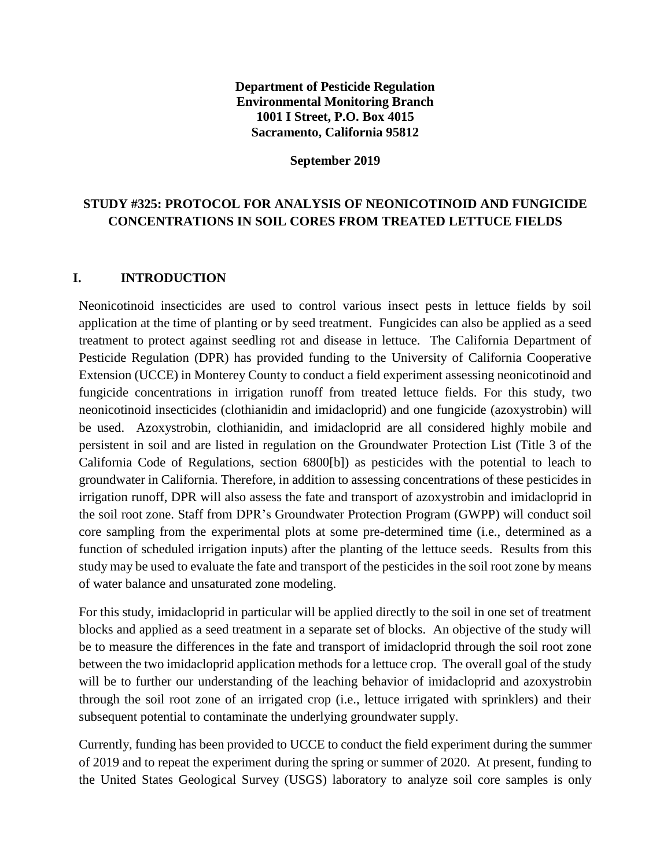### **Department of Pesticide Regulation Environmental Monitoring Branch 1001 I Street, P.O. Box 4015 Sacramento, California 95812**

#### **September 2019**

# **STUDY #325: PROTOCOL FOR ANALYSIS OF NEONICOTINOID AND FUNGICIDE CONCENTRATIONS IN SOIL CORES FROM TREATED LETTUCE FIELDS**

### **I. INTRODUCTION**

Neonicotinoid insecticides are used to control various insect pests in lettuce fields by soil application at the time of planting or by seed treatment. Fungicides can also be applied as a seed treatment to protect against seedling rot and disease in lettuce. The California Department of Pesticide Regulation (DPR) has provided funding to the University of California Cooperative Extension (UCCE) in Monterey County to conduct a field experiment assessing neonicotinoid and fungicide concentrations in irrigation runoff from treated lettuce fields. For this study, two neonicotinoid insecticides (clothianidin and imidacloprid) and one fungicide (azoxystrobin) will be used. Azoxystrobin, clothianidin, and imidacloprid are all considered highly mobile and persistent in soil and are listed in regulation on the Groundwater Protection List (Title 3 of the California Code of Regulations, section 6800[b]) as pesticides with the potential to leach to groundwater in California. Therefore, in addition to assessing concentrations of these pesticides in irrigation runoff, DPR will also assess the fate and transport of azoxystrobin and imidacloprid in the soil root zone. Staff from DPR's Groundwater Protection Program (GWPP) will conduct soil core sampling from the experimental plots at some pre-determined time (i.e., determined as a function of scheduled irrigation inputs) after the planting of the lettuce seeds. Results from this study may be used to evaluate the fate and transport of the pesticides in the soil root zone by means of water balance and unsaturated zone modeling.

For this study, imidacloprid in particular will be applied directly to the soil in one set of treatment blocks and applied as a seed treatment in a separate set of blocks. An objective of the study will be to measure the differences in the fate and transport of imidacloprid through the soil root zone between the two imidacloprid application methods for a lettuce crop. The overall goal of the study will be to further our understanding of the leaching behavior of imidacloprid and azoxystrobin through the soil root zone of an irrigated crop (i.e., lettuce irrigated with sprinklers) and their subsequent potential to contaminate the underlying groundwater supply.

Currently, funding has been provided to UCCE to conduct the field experiment during the summer of 2019 and to repeat the experiment during the spring or summer of 2020. At present, funding to the United States Geological Survey (USGS) laboratory to analyze soil core samples is only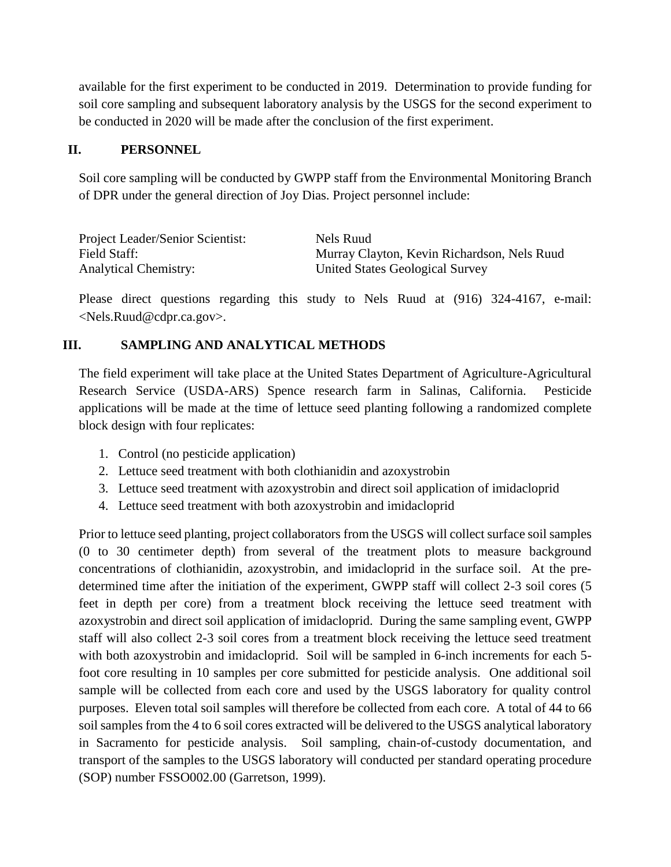available for the first experiment to be conducted in 2019. Determination to provide funding for soil core sampling and subsequent laboratory analysis by the USGS for the second experiment to be conducted in 2020 will be made after the conclusion of the first experiment.

### **II. PERSONNEL**

Soil core sampling will be conducted by GWPP staff from the Environmental Monitoring Branch of DPR under the general direction of Joy Dias. Project personnel include:

| Project Leader/Senior Scientist: | Nels Ruud                                   |
|----------------------------------|---------------------------------------------|
| Field Staff:                     | Murray Clayton, Kevin Richardson, Nels Ruud |
| <b>Analytical Chemistry:</b>     | United States Geological Survey             |

Please direct questions regarding this study to Nels Ruud at (916) 324-4167, e-mail: [<Nels.Ruud@cdpr.ca.gov>](mailto:Nels.Ruud@cdpr.ca.gov).

### **III. SAMPLING AND ANALYTICAL METHODS**

The field experiment will take place at the United States Department of Agriculture-Agricultural Research Service (USDA-ARS) Spence research farm in Salinas, California. Pesticide applications will be made at the time of lettuce seed planting following a randomized complete block design with four replicates:

- 1. Control (no pesticide application)
- 2. Lettuce seed treatment with both clothianidin and azoxystrobin
- 3. Lettuce seed treatment with azoxystrobin and direct soil application of imidacloprid
- 4. Lettuce seed treatment with both azoxystrobin and imidacloprid

Prior to lettuce seed planting, project collaborators from the USGS will collect surface soil samples (0 to 30 centimeter depth) from several of the treatment plots to measure background concentrations of clothianidin, azoxystrobin, and imidacloprid in the surface soil. At the predetermined time after the initiation of the experiment, GWPP staff will collect 2-3 soil cores (5 feet in depth per core) from a treatment block receiving the lettuce seed treatment with azoxystrobin and direct soil application of imidacloprid. During the same sampling event, GWPP staff will also collect 2-3 soil cores from a treatment block receiving the lettuce seed treatment with both azoxystrobin and imidacloprid. Soil will be sampled in 6-inch increments for each 5 foot core resulting in 10 samples per core submitted for pesticide analysis. One additional soil sample will be collected from each core and used by the USGS laboratory for quality control purposes. Eleven total soil samples will therefore be collected from each core. A total of 44 to 66 soil samples from the 4 to 6 soil cores extracted will be delivered to the USGS analytical laboratory in Sacramento for pesticide analysis. Soil sampling, chain-of-custody documentation, and transport of the samples to the USGS laboratory will conducted per standard operating procedure (SOP) number FSSO002.00 (Garretson, 1999).